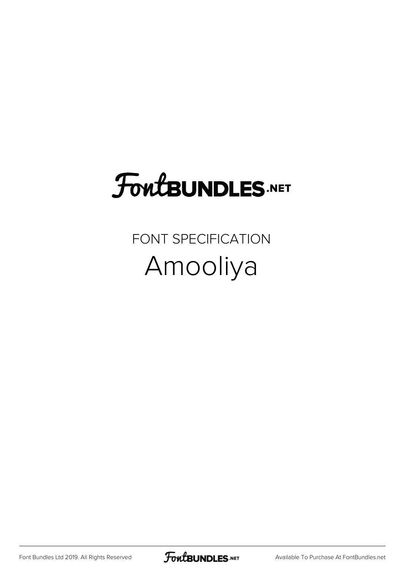## **FoutBUNDLES.NET**

FONT SPECIFICATION Amooliya

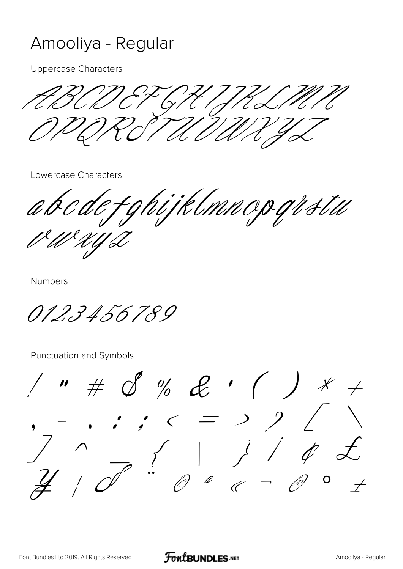## Amooliya - Regular

**Uppercase Characters** 

 $\mathcal{U}$ o

Lowercase Characters

hijklmnopgistu  $\acute{\sigma}$ 

**Numbers** 

0123456789

Punctuation and Symbols

 $\#$  S % L'  $\cancel{\mathcal{K}}$  $\overline{\mathscr{S}}$  $\equiv$  )  $\epsilon$  $\bullet$  $\begin{array}{c|c} \begin{array}{c} \begin{array}{c} \begin{array}{c} \end{array} \\ \begin{array}{c} \end{array} \\ \begin{array}{c} \end{array} \end{array} \end{array}$  $\mathscr{A}$  $\overline{O}$  $\overline{t}$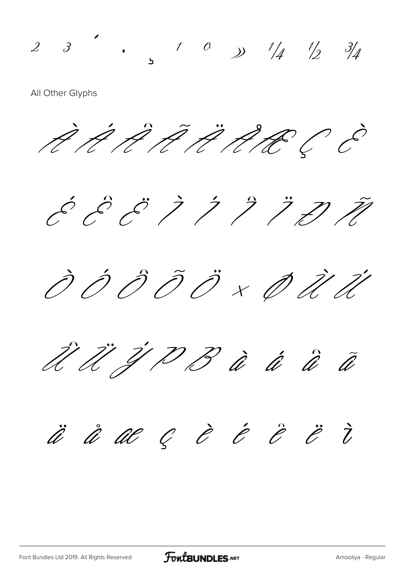$2$   $3$   $\cdot$   $1$   $0$   $\frac{1}{4}$   $\frac{1}{2}$   $\frac{3}{4}$ 

All Other Glyphs

À Á Â Ã Ä Å Æ Ç È

 $\acute{c}$   $\acute{c}$   $\acute{c}$   $\acute{c}$   $\acute{c}$   $\acute{c}$   $\acute{c}$   $\acute{c}$   $\acute{c}$   $\acute{c}$   $\acute{c}$   $\acute{c}$   $\acute{c}$   $\acute{c}$   $\acute{c}$   $\acute{c}$   $\acute{c}$   $\acute{c}$   $\acute{c}$   $\acute{c}$   $\acute{c}$   $\acute{c}$   $\acute{c}$   $\acute{c}$   $\acute{c}$   $\acute{c}$   $\acute{c}$   $\acute{c$ 

Ò Ó Ô Õ Ö × Ø Ù Ú



ä å æ ç è é ê ë ì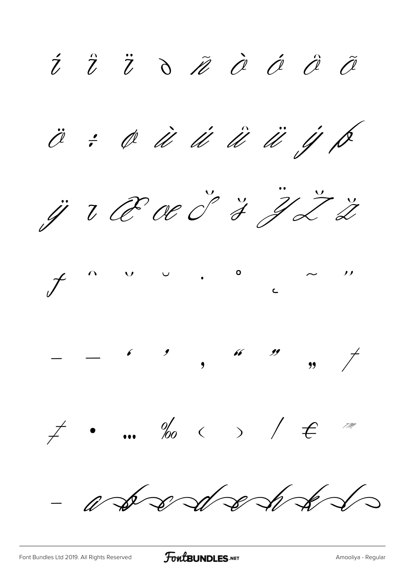I T T O M O O O O Ö : Ø Ü Ü Ü Ü Ü J P ji u Poe d'I J Ž Ž  $f \circ \circ \circ \circ \circ \circ \circ \circ \circ \circ \circ$  $\neq$  ... ‰  $\iff$  /  $\in$  m  $-$  a so so so so so s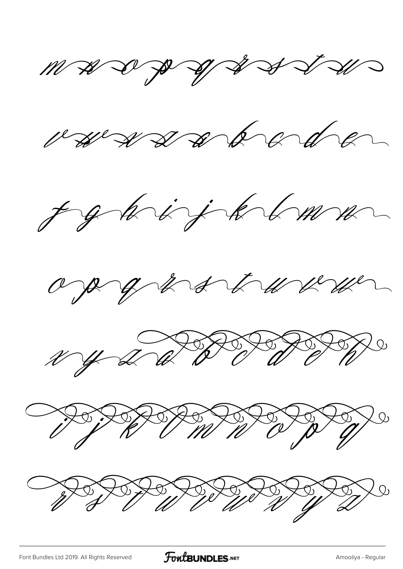